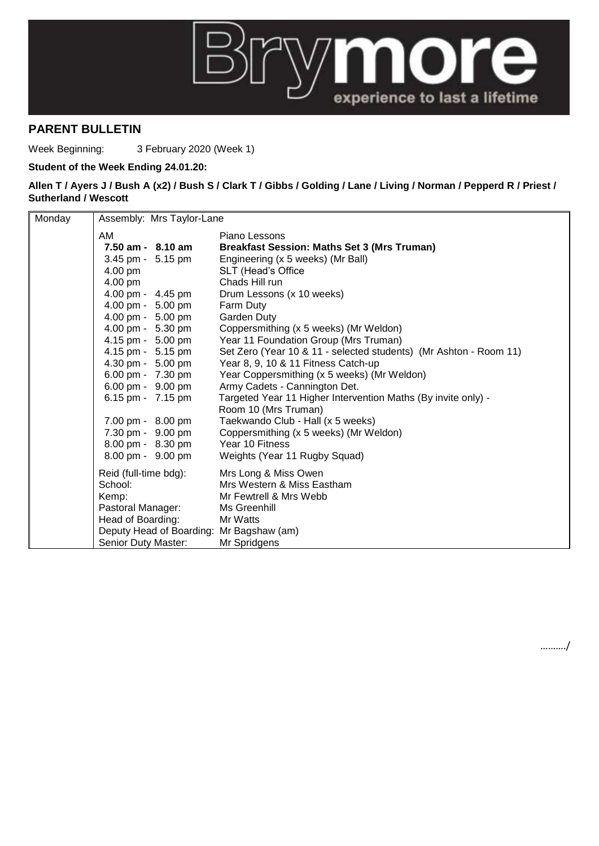

## **PARENT BULLETIN**

Week Beginning: 3 February 2020 (Week 1)

## **Student of the Week Ending 24.01.20:**

**Allen T / Ayers J / Bush A (x2) / Bush S / Clark T / Gibbs / Golding / Lane / Living / Norman / Pepperd R / Priest / Sutherland / Wescott**

| Monday | Assembly: Mrs Taylor-Lane                                                                                                                                                                                                                      |                                                                                                                                                                                                                                                                                                                                                                                                                                                         |  |
|--------|------------------------------------------------------------------------------------------------------------------------------------------------------------------------------------------------------------------------------------------------|---------------------------------------------------------------------------------------------------------------------------------------------------------------------------------------------------------------------------------------------------------------------------------------------------------------------------------------------------------------------------------------------------------------------------------------------------------|--|
|        | AM<br>$7.50$ am - $8.10$ am<br>3.45 pm - 5.15 pm<br>4.00 pm<br>4.00 pm<br>4.00 pm - 4.45 pm<br>4.00 pm - 5.00 pm<br>4.00 pm - 5.00 pm<br>4.00 pm - 5.30 pm<br>4.15 pm - 5.00 pm<br>4.15 pm - 5.15 pm<br>4.30 pm - 5.00 pm<br>6.00 pm - 7.30 pm | Piano Lessons<br><b>Breakfast Session: Maths Set 3 (Mrs Truman)</b><br>Engineering (x 5 weeks) (Mr Ball)<br>SLT (Head's Office<br>Chads Hill run<br>Drum Lessons (x 10 weeks)<br>Farm Duty<br>Garden Duty<br>Coppersmithing (x 5 weeks) (Mr Weldon)<br>Year 11 Foundation Group (Mrs Truman)<br>Set Zero (Year 10 & 11 - selected students) (Mr Ashton - Room 11)<br>Year 8, 9, 10 & 11 Fitness Catch-up<br>Year Coppersmithing (x 5 weeks) (Mr Weldon) |  |
|        | 6.00 pm - 9.00 pm<br>6.15 pm - 7.15 pm<br>7.00 pm - 8.00 pm<br>7.30 pm - 9.00 pm<br>8.00 pm - 8.30 pm                                                                                                                                          | Army Cadets - Cannington Det.<br>Targeted Year 11 Higher Intervention Maths (By invite only) -<br>Room 10 (Mrs Truman)<br>Taekwando Club - Hall (x 5 weeks)<br>Coppersmithing (x 5 weeks) (Mr Weldon)<br>Year 10 Fitness                                                                                                                                                                                                                                |  |
|        | 8.00 pm - 9.00 pm<br>Reid (full-time bdg):<br>School:<br>Kemp:<br>Pastoral Manager:<br>Head of Boarding:<br>Deputy Head of Boarding: Mr Bagshaw (am)<br>Senior Duty Master:                                                                    | Weights (Year 11 Rugby Squad)<br>Mrs Long & Miss Owen<br>Mrs Western & Miss Eastham<br>Mr Fewtrell & Mrs Webb<br>Ms Greenhill<br>Mr Watts<br>Mr Spridgens                                                                                                                                                                                                                                                                                               |  |

………./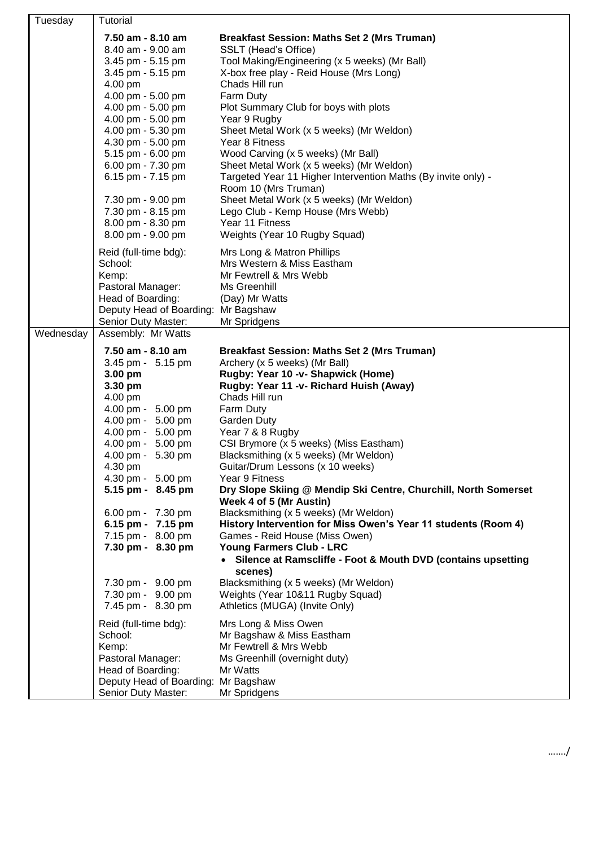| Tuesday   | <b>Tutorial</b>                                                                                                                                                                                                                                                                                                                                         |                                                                                                                                                                                                                                                                                                                                                                                                                                                                                                                                                                                                                                                                                                                                                                              |
|-----------|---------------------------------------------------------------------------------------------------------------------------------------------------------------------------------------------------------------------------------------------------------------------------------------------------------------------------------------------------------|------------------------------------------------------------------------------------------------------------------------------------------------------------------------------------------------------------------------------------------------------------------------------------------------------------------------------------------------------------------------------------------------------------------------------------------------------------------------------------------------------------------------------------------------------------------------------------------------------------------------------------------------------------------------------------------------------------------------------------------------------------------------------|
|           | 7.50 am - 8.10 am<br>8.40 am - 9.00 am<br>3.45 pm - 5.15 pm<br>3.45 pm - 5.15 pm<br>4.00 pm<br>4.00 pm - 5.00 pm<br>4.00 pm - 5.00 pm<br>4.00 pm - 5.00 pm<br>4.00 pm - 5.30 pm<br>4.30 pm - 5.00 pm<br>5.15 pm - 6.00 pm<br>6.00 pm - 7.30 pm<br>6.15 pm - 7.15 pm<br>7.30 pm - 9.00 pm<br>7.30 pm - 8.15 pm<br>8.00 pm - 8.30 pm<br>8.00 pm - 9.00 pm | <b>Breakfast Session: Maths Set 2 (Mrs Truman)</b><br>SSLT (Head's Office)<br>Tool Making/Engineering (x 5 weeks) (Mr Ball)<br>X-box free play - Reid House (Mrs Long)<br>Chads Hill run<br>Farm Duty<br>Plot Summary Club for boys with plots<br>Year 9 Rugby<br>Sheet Metal Work (x 5 weeks) (Mr Weldon)<br>Year 8 Fitness<br>Wood Carving (x 5 weeks) (Mr Ball)<br>Sheet Metal Work (x 5 weeks) (Mr Weldon)<br>Targeted Year 11 Higher Intervention Maths (By invite only) -<br>Room 10 (Mrs Truman)<br>Sheet Metal Work (x 5 weeks) (Mr Weldon)<br>Lego Club - Kemp House (Mrs Webb)<br>Year 11 Fitness<br>Weights (Year 10 Rugby Squad)                                                                                                                                 |
| Wednesday | Reid (full-time bdg):<br>School:<br>Kemp:<br>Pastoral Manager:<br>Head of Boarding:<br>Deputy Head of Boarding: Mr Bagshaw<br>Senior Duty Master:<br>Assembly: Mr Watts                                                                                                                                                                                 | Mrs Long & Matron Phillips<br>Mrs Western & Miss Eastham<br>Mr Fewtrell & Mrs Webb<br>Ms Greenhill<br>(Day) Mr Watts<br>Mr Spridgens                                                                                                                                                                                                                                                                                                                                                                                                                                                                                                                                                                                                                                         |
|           | 7.50 am - 8.10 am<br>3.45 pm - 5.15 pm<br>3.00 pm<br>3.30 pm<br>4.00 pm<br>4.00 pm - 5.00 pm<br>4.00 pm - 5.00 pm<br>4.00 pm - 5.00 pm<br>4.00 pm - 5.00 pm<br>4.00 pm - 5.30 pm<br>4.30 pm<br>4.30 pm - 5.00 pm<br>5.15 pm - 8.45 pm<br>6.00 pm - 7.30 pm<br>6.15 pm - 7.15 pm<br>7.15 pm - 8.00 pm<br>7.30 pm - 8.30 pm<br>7.30 pm - 9.00 pm          | <b>Breakfast Session: Maths Set 2 (Mrs Truman)</b><br>Archery (x 5 weeks) (Mr Ball)<br>Rugby: Year 10 -v- Shapwick (Home)<br>Rugby: Year 11 -v- Richard Huish (Away)<br>Chads Hill run<br>Farm Duty<br>Garden Duty<br>Year 7 & 8 Rugby<br>CSI Brymore (x 5 weeks) (Miss Eastham)<br>Blacksmithing (x 5 weeks) (Mr Weldon)<br>Guitar/Drum Lessons (x 10 weeks)<br>Year 9 Fitness<br>Dry Slope Skiing @ Mendip Ski Centre, Churchill, North Somerset<br>Week 4 of 5 (Mr Austin)<br>Blacksmithing (x 5 weeks) (Mr Weldon)<br>History Intervention for Miss Owen's Year 11 students (Room 4)<br>Games - Reid House (Miss Owen)<br>Young Farmers Club - LRC<br>• Silence at Ramscliffe - Foot & Mouth DVD (contains upsetting<br>scenes)<br>Blacksmithing (x 5 weeks) (Mr Weldon) |
|           | 7.30 pm - 9.00 pm<br>7.45 pm - 8.30 pm<br>Reid (full-time bdg):<br>School:<br>Kemp:<br>Pastoral Manager:<br>Head of Boarding:<br>Deputy Head of Boarding: Mr Bagshaw<br>Senior Duty Master:                                                                                                                                                             | Weights (Year 10&11 Rugby Squad)<br>Athletics (MUGA) (Invite Only)<br>Mrs Long & Miss Owen<br>Mr Bagshaw & Miss Eastham<br>Mr Fewtrell & Mrs Webb<br>Ms Greenhill (overnight duty)<br>Mr Watts<br>Mr Spridgens                                                                                                                                                                                                                                                                                                                                                                                                                                                                                                                                                               |

……./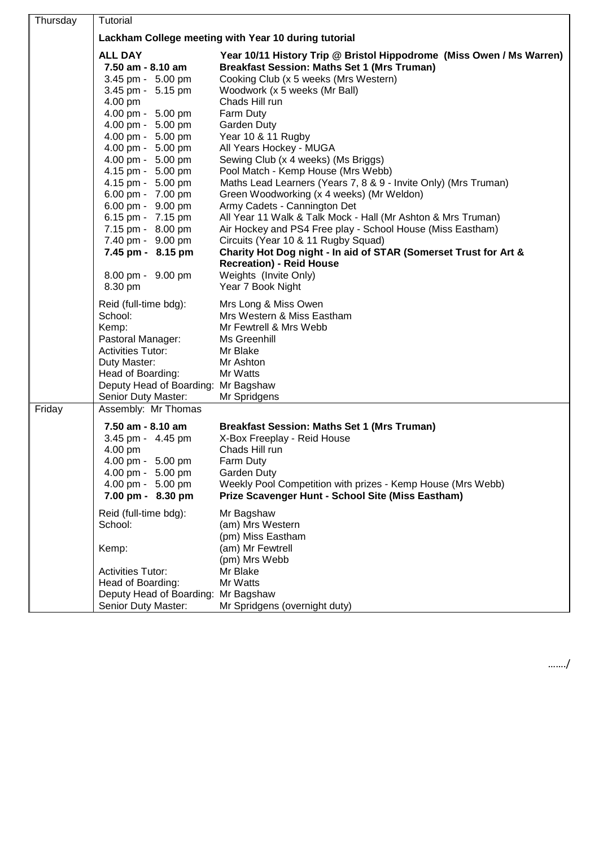| Thursday | Tutorial                                             |                                                                                                                            |  |
|----------|------------------------------------------------------|----------------------------------------------------------------------------------------------------------------------------|--|
|          | Lackham College meeting with Year 10 during tutorial |                                                                                                                            |  |
|          | <b>ALL DAY</b><br>7.50 am - 8.10 am                  | Year 10/11 History Trip @ Bristol Hippodrome (Miss Owen / Ms Warren)<br><b>Breakfast Session: Maths Set 1 (Mrs Truman)</b> |  |
|          | 3.45 pm - 5.00 pm                                    | Cooking Club (x 5 weeks (Mrs Western)                                                                                      |  |
|          | 3.45 pm - 5.15 pm                                    | Woodwork (x 5 weeks (Mr Ball)                                                                                              |  |
|          | 4.00 pm                                              | Chads Hill run                                                                                                             |  |
|          | 4.00 pm - 5.00 pm                                    | Farm Duty                                                                                                                  |  |
|          | 4.00 pm - 5.00 pm                                    | Garden Duty                                                                                                                |  |
|          | 4.00 pm - 5.00 pm                                    | Year 10 & 11 Rugby                                                                                                         |  |
|          | 4.00 pm - 5.00 pm                                    | All Years Hockey - MUGA                                                                                                    |  |
|          | 4.00 pm - 5.00 pm                                    | Sewing Club (x 4 weeks) (Ms Briggs)                                                                                        |  |
|          | 4.15 pm - 5.00 pm                                    | Pool Match - Kemp House (Mrs Webb)                                                                                         |  |
|          | 4.15 pm - 5.00 pm                                    | Maths Lead Learners (Years 7, 8 & 9 - Invite Only) (Mrs Truman)                                                            |  |
|          | 6.00 pm - 7.00 pm                                    | Green Woodworking (x 4 weeks) (Mr Weldon)                                                                                  |  |
|          | 6.00 pm - 9.00 pm                                    | Army Cadets - Cannington Det                                                                                               |  |
|          | 6.15 pm - 7.15 pm                                    | All Year 11 Walk & Talk Mock - Hall (Mr Ashton & Mrs Truman)                                                               |  |
|          | 7.15 pm - 8.00 pm                                    | Air Hockey and PS4 Free play - School House (Miss Eastham)                                                                 |  |
|          | 7.40 pm - 9.00 pm<br>7.45 pm - 8.15 pm               | Circuits (Year 10 & 11 Rugby Squad)<br>Charity Hot Dog night - In aid of STAR (Somerset Trust for Art &                    |  |
|          |                                                      | <b>Recreation) - Reid House</b>                                                                                            |  |
|          | 8.00 pm - 9.00 pm                                    | Weights (Invite Only)                                                                                                      |  |
|          | 8.30 pm                                              | Year 7 Book Night                                                                                                          |  |
|          | Reid (full-time bdg):                                | Mrs Long & Miss Owen                                                                                                       |  |
|          | School:                                              | Mrs Western & Miss Eastham                                                                                                 |  |
|          | Kemp:                                                | Mr Fewtrell & Mrs Webb                                                                                                     |  |
|          | Pastoral Manager:                                    | Ms Greenhill                                                                                                               |  |
|          | <b>Activities Tutor:</b>                             | Mr Blake                                                                                                                   |  |
|          | Duty Master:                                         | Mr Ashton                                                                                                                  |  |
|          | Head of Boarding:                                    | Mr Watts                                                                                                                   |  |
|          | Deputy Head of Boarding: Mr Bagshaw                  |                                                                                                                            |  |
|          | Senior Duty Master:                                  | Mr Spridgens                                                                                                               |  |
| Friday   | Assembly: Mr Thomas                                  |                                                                                                                            |  |
|          | 7.50 am - 8.10 am                                    | <b>Breakfast Session: Maths Set 1 (Mrs Truman)</b>                                                                         |  |
|          | 3.45 pm - 4.45 pm                                    | X-Box Freeplay - Reid House                                                                                                |  |
|          | 4.00 pm                                              | Chads Hill run                                                                                                             |  |
|          | 4.00 pm - 5.00 pm                                    | Farm Duty                                                                                                                  |  |
|          | 4.00 pm - 5.00 pm<br>4.00 pm - 5.00 pm               | Garden Duty<br>Weekly Pool Competition with prizes - Kemp House (Mrs Webb)                                                 |  |
|          | 7.00 pm - 8.30 pm                                    | Prize Scavenger Hunt - School Site (Miss Eastham)                                                                          |  |
|          | Reid (full-time bdg):                                | Mr Bagshaw                                                                                                                 |  |
|          | School:                                              | (am) Mrs Western                                                                                                           |  |
|          |                                                      | (pm) Miss Eastham                                                                                                          |  |
|          | Kemp:                                                | (am) Mr Fewtrell                                                                                                           |  |
|          |                                                      | (pm) Mrs Webb                                                                                                              |  |
|          | <b>Activities Tutor:</b>                             | Mr Blake                                                                                                                   |  |
|          | Head of Boarding:                                    | Mr Watts                                                                                                                   |  |
|          | Deputy Head of Boarding: Mr Bagshaw                  |                                                                                                                            |  |
|          | Senior Duty Master:                                  | Mr Spridgens (overnight duty)                                                                                              |  |